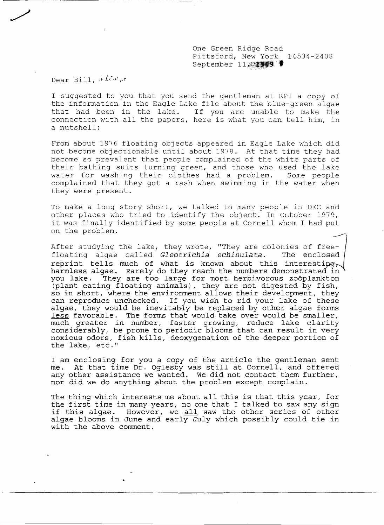One Green Ridge Road Pittsford, New York 14534-2408 September 11, a. 1599

Dear Bill, *<i>ii*(*l*ise), r

I suggested to you that you send the gentleman at RPI a copy of the information in the Eagle Lake file about the blue-green algae<br>that had been in the lake. If you are unable to make the If you are unable to make the connection with all the papers, here is what you can tell him, in a nutshell:

From about 1976 floating objects appeared in Eagle Lake which did not become objectionable until about 1978. At that time they had become so prevalent that people complained of the white parts of their bathing suits turning green, and those who used the lake water for washing their clothes had a problem. Some people complained that they got a rash when swimming in the water when they were present.

To make a long story short, we talked to many people in DEC and other places who tried to identify the object. In October 1979, it was finally identified by some people at Cornell whom I had put on the problem.

After studying the lake, they wrote, "They are colonies of free-<br>floating algae called Gleotrichia echinulata. The enclosed floating algae called *Gleotrichia echinulata*. reprint tells much of what is known about this interesting, harmless algae. Rarely do they reach the numbers demonstrated in<br>vou lake. They are too large for most herbivorous zooplankton They are too large for most herbivorous zooplankton (plant eating floating animals), they are not digested by fish, so in short, where the environment allows their development, they can reproduce unchecked. If you wish to rid your lake of these algae, they would be inevitably be replaced by other algae forms less favorable. The forms that would take over would be smaller, much greater in number, faster growing, reduce lake clarity considerably, be prone to periodic blooms that can result in very noxious odors, fish kills, deoxygenation of the deeper portion of the lake, etc."

I am enclosing for you a copy of the article the gentleman sent me. At that time Dr. Oglesby was still at Cornell, and offered any other assistance we wanted. We did not contact them further, nor did we do anything about the problem except complain.

The thing which interests me about all this is that this year, for the first time in many years, no one that I talked to saw any sign if this algae. However, we all saw the other series of other algae blooms in June and early July which possibly could tie in with the above comment.